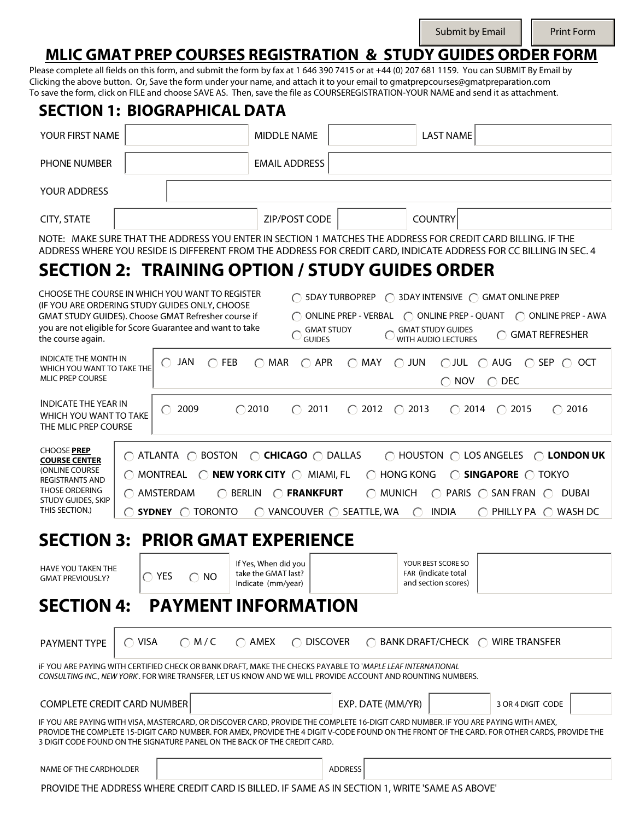Submit by Email  $\|\cdot\|$  Print Form

## **MLIC GMAT PREP COURSES REGISTRATION & STUDY GUIDES ORDER FORM**

Please complete all fields on this form, and submit the form by fax at 1 646 390 7415 or at +44 (0) 207 681 1159. You can SUBMIT By Email by Clicking the above button. Or, Save the form under your name, and attach it to your email to gmatprepcourses@gmatpreparation.com To save the form, click on FILE and choose SAVE AS. Then, save the file as COURSEREGISTRATION-YOUR NAME and send it as attachment.

| <b>SECTION 1: BIOGRAPHICAL DATA</b>                                                                                                                                                                                                                                                                      |                 |                                                                        |                                                                                                                                                                                                                                                                                                                                                                 |                                                  |                                                         |                                                                  |                                                                                                                                                                                                      |      |
|----------------------------------------------------------------------------------------------------------------------------------------------------------------------------------------------------------------------------------------------------------------------------------------------------------|-----------------|------------------------------------------------------------------------|-----------------------------------------------------------------------------------------------------------------------------------------------------------------------------------------------------------------------------------------------------------------------------------------------------------------------------------------------------------------|--------------------------------------------------|---------------------------------------------------------|------------------------------------------------------------------|------------------------------------------------------------------------------------------------------------------------------------------------------------------------------------------------------|------|
| YOUR FIRST NAME                                                                                                                                                                                                                                                                                          |                 |                                                                        | <b>MIDDLE NAME</b>                                                                                                                                                                                                                                                                                                                                              |                                                  |                                                         | <b>LAST NAME</b>                                                 |                                                                                                                                                                                                      |      |
| <b>PHONE NUMBER</b>                                                                                                                                                                                                                                                                                      |                 |                                                                        | <b>EMAIL ADDRESS</b>                                                                                                                                                                                                                                                                                                                                            |                                                  |                                                         |                                                                  |                                                                                                                                                                                                      |      |
| YOUR ADDRESS                                                                                                                                                                                                                                                                                             |                 |                                                                        |                                                                                                                                                                                                                                                                                                                                                                 |                                                  |                                                         |                                                                  |                                                                                                                                                                                                      |      |
| <b>CITY, STATE</b>                                                                                                                                                                                                                                                                                       |                 |                                                                        | ZIP/POST CODE                                                                                                                                                                                                                                                                                                                                                   |                                                  |                                                         | <b>COUNTRY</b>                                                   |                                                                                                                                                                                                      |      |
|                                                                                                                                                                                                                                                                                                          |                 |                                                                        | NOTE: MAKE SURE THAT THE ADDRESS YOU ENTER IN SECTION 1 MATCHES THE ADDRESS FOR CREDIT CARD BILLING. IF THE<br>ADDRESS WHERE YOU RESIDE IS DIFFERENT FROM THE ADDRESS FOR CREDIT CARD, INDICATE ADDRESS FOR CC BILLING IN SEC. 4                                                                                                                                |                                                  |                                                         |                                                                  |                                                                                                                                                                                                      |      |
|                                                                                                                                                                                                                                                                                                          |                 |                                                                        | SECTION 2: TRAINING OPTION / STUDY GUIDES ORDER                                                                                                                                                                                                                                                                                                                 |                                                  |                                                         |                                                                  |                                                                                                                                                                                                      |      |
| CHOOSE THE COURSE IN WHICH YOU WANT TO REGISTER<br>(IF YOU ARE ORDERING STUDY GUIDES ONLY, CHOOSE<br>GMAT STUDY GUIDES). Choose GMAT Refresher course if<br>you are not eligible for Score Guarantee and want to take<br>the course again.<br><b>INDICATE THE MONTH IN</b><br>WHICH YOU WANT TO TAKE THE |                 | JAN<br>$\bigcirc$ FEB<br>$\left( \begin{array}{c} \end{array} \right)$ | <b>GUIDES</b><br>$\bigcirc$ APR<br>$\bigcirc$ MAR                                                                                                                                                                                                                                                                                                               | <b>ONLINE PREP - VERBAL</b><br><b>GMAT STUDY</b> | $\bigcirc$ JUN<br>$\bigcirc$ MAY                        | <b>GMAT STUDY GUIDES</b><br><b>WITH AUDIO LECTURES</b>           | 5DAY TURBOPREP ◯ 3DAY INTENSIVE ◯ GMAT ONLINE PREP<br>$\bigcirc$ ONLINE PREP - QUANT $\bigcirc$ ONLINE PREP - AWA<br>◯ GMAT REFRESHER<br>$\bigcirc$ JUL $\bigcirc$ AUG $\bigcirc$ SEP $\bigcirc$ OCT |      |
| <b>MLIC PREP COURSE</b>                                                                                                                                                                                                                                                                                  |                 |                                                                        |                                                                                                                                                                                                                                                                                                                                                                 |                                                  | $\bigcirc$ NOV<br>$\bigcirc$ DEC                        |                                                                  |                                                                                                                                                                                                      |      |
| <b>INDICATE THE YEAR IN</b><br>WHICH YOU WANT TO TAKE<br>THE MLIC PREP COURSE                                                                                                                                                                                                                            |                 | 2009<br>$(\ )$                                                         | $\bigcirc$ 2010<br>2011<br>◯                                                                                                                                                                                                                                                                                                                                    |                                                  | $\bigcirc$ 2012<br>$\bigcirc$ 2013                      |                                                                  | $\bigcirc$ 2014 $\bigcirc$ 2015<br>$\left(\begin{array}{c} \end{array}\right)$                                                                                                                       | 2016 |
| <b>CHOOSE PREP</b><br><b>COURSE CENTER</b><br>(ONLINE COURSE<br><b>REGISTRANTS AND</b><br><b>THOSE ORDERING</b><br>STUDY GUIDES, SKIP<br>THIS SECTION.)                                                                                                                                                  |                 | MONTREAL<br>AMSTERDAM<br>SYDNEY C TORONTO                              | $\bigcirc$ atlanta $\bigcirc$ boston $\bigcirc$ <b>Chicago</b> $\bigcirc$ dallas<br>$\bigcirc$ NEW YORK CITY $\bigcirc$ MIAMI, FL<br>$\bigcirc$ berlin<br>$\bigcirc$ FRANKFURT<br>$\bigcirc$ VANCOUVER $\bigcirc$ SEATTLE, WA                                                                                                                                   |                                                  | $\bigcirc$ HONG KONG<br>$\bigcirc$ munich<br>$\bigcirc$ | <b>INDIA</b><br>∩                                                | $\bigcirc$ HOUSTON $\bigcirc$ LOS ANGELES $\bigcirc$ LONDON UK<br>◯ SINGAPORE ◯ TOKYO<br>$\bigcirc$ PARIS $\bigcirc$ SAN FRAN $\bigcirc$ DUBAI<br>PHILLY PA $\bigcirc$ WASH DC                       |      |
|                                                                                                                                                                                                                                                                                                          |                 |                                                                        | <b>SECTION 3: PRIOR GMAT EXPERIENCE</b>                                                                                                                                                                                                                                                                                                                         |                                                  |                                                         |                                                                  |                                                                                                                                                                                                      |      |
| HAVE YOU TAKEN THE<br><b>GMAT PREVIOUSLY?</b>                                                                                                                                                                                                                                                            |                 | $\bigcirc$ YES<br>$\bigcirc$ NO                                        | If Yes, When did you<br>take the GMAT last?<br>Indicate (mm/year)                                                                                                                                                                                                                                                                                               |                                                  |                                                         | YOUR BEST SCORE SO<br>FAR (indicate total<br>and section scores) |                                                                                                                                                                                                      |      |
| <b>SECTION 4:</b>                                                                                                                                                                                                                                                                                        |                 |                                                                        | <b>PAYMENT INFORMATION</b>                                                                                                                                                                                                                                                                                                                                      |                                                  |                                                         |                                                                  |                                                                                                                                                                                                      |      |
| PAYMENT TYPE                                                                                                                                                                                                                                                                                             | $\bigcirc$ VISA | OM/C                                                                   | $\bigcirc$ amex<br>$\bigcap$                                                                                                                                                                                                                                                                                                                                    | <b>DISCOVER</b>                                  | $\left( \right)$                                        |                                                                  | BANK DRAFT/CHECK ◯ WIRE TRANSFER                                                                                                                                                                     |      |
|                                                                                                                                                                                                                                                                                                          |                 |                                                                        | IF YOU ARE PAYING WITH CERTIFIED CHECK OR BANK DRAFT, MAKE THE CHECKS PAYABLE TO 'MAPLE LEAF INTERNATIONAL<br>CONSULTING INC., NEW YORK'. FOR WIRE TRANSFER, LET US KNOW AND WE WILL PROVIDE ACCOUNT AND ROUNTING NUMBERS.                                                                                                                                      |                                                  |                                                         |                                                                  |                                                                                                                                                                                                      |      |
| <b>COMPLETE CREDIT CARD NUMBER</b>                                                                                                                                                                                                                                                                       |                 |                                                                        |                                                                                                                                                                                                                                                                                                                                                                 |                                                  | EXP. DATE (MM/YR)                                       |                                                                  | 3 OR 4 DIGIT CODE                                                                                                                                                                                    |      |
|                                                                                                                                                                                                                                                                                                          |                 |                                                                        | IF YOU ARE PAYING WITH VISA, MASTERCARD, OR DISCOVER CARD, PROVIDE THE COMPLETE 16-DIGIT CARD NUMBER. IF YOU ARE PAYING WITH AMEX,<br>PROVIDE THE COMPLETE 15-DIGIT CARD NUMBER. FOR AMEX, PROVIDE THE 4 DIGIT V-CODE FOUND ON THE FRONT OF THE CARD. FOR OTHER CARDS, PROVIDE THE<br>3 DIGIT CODE FOUND ON THE SIGNATURE PANEL ON THE BACK OF THE CREDIT CARD. |                                                  |                                                         |                                                                  |                                                                                                                                                                                                      |      |
| NAME OF THE CARDHOLDER                                                                                                                                                                                                                                                                                   |                 |                                                                        |                                                                                                                                                                                                                                                                                                                                                                 | <b>ADDRESS</b>                                   |                                                         |                                                                  |                                                                                                                                                                                                      |      |

PROVIDE THE ADDRESS WHERE CREDIT CARD IS BILLED. IF SAME AS IN SECTION 1, WRITE 'SAME AS ABOVE'